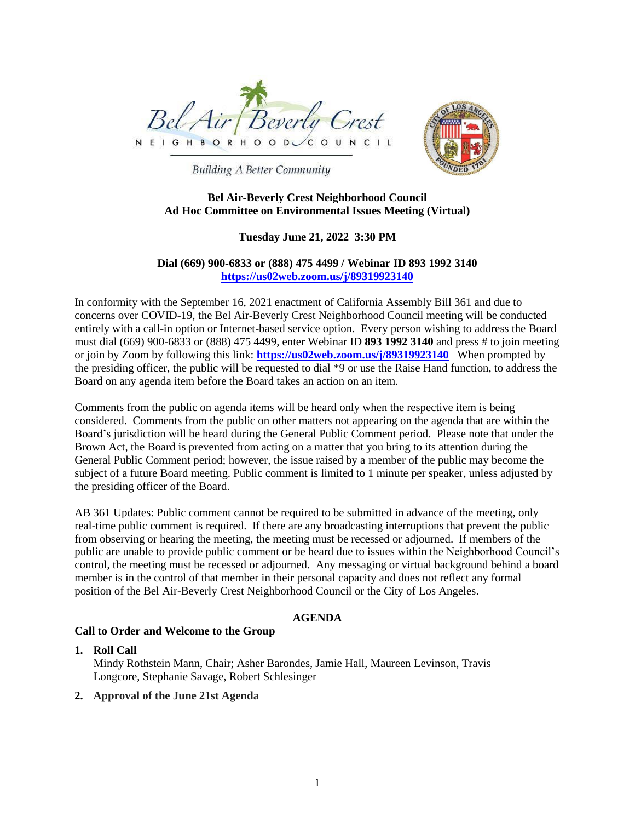



**Building A Better Community** 

## **Bel Air-Beverly Crest Neighborhood Council Ad Hoc Committee on Environmental Issues Meeting (Virtual)**

# **Tuesday June 21, 2022 3:30 PM**

## **Dial (669) 900-6833 or (888) 475 4499 / Webinar ID 893 1992 3140 <https://us02web.zoom.us/j/89319923140>**

In conformity with the September 16, 2021 enactment of California Assembly Bill 361 and due to concerns over COVID-19, the Bel Air-Beverly Crest Neighborhood Council meeting will be conducted entirely with a call-in option or Internet-based service option. Every person wishing to address the Board must dial (669) 900-6833 or (888) 475 4499, enter Webinar ID **893 1992 3140** and press # to join meeting or join by Zoom by following this link: **<https://us02web.zoom.us/j/89319923140>** When prompted by the presiding officer, the public will be requested to dial \*9 or use the Raise Hand function, to address the Board on any agenda item before the Board takes an action on an item.

Comments from the public on agenda items will be heard only when the respective item is being considered. Comments from the public on other matters not appearing on the agenda that are within the Board's jurisdiction will be heard during the General Public Comment period. Please note that under the Brown Act, the Board is prevented from acting on a matter that you bring to its attention during the General Public Comment period; however, the issue raised by a member of the public may become the subject of a future Board meeting. Public comment is limited to 1 minute per speaker, unless adjusted by the presiding officer of the Board.

AB 361 Updates: Public comment cannot be required to be submitted in advance of the meeting, only real-time public comment is required. If there are any broadcasting interruptions that prevent the public from observing or hearing the meeting, the meeting must be recessed or adjourned. If members of the public are unable to provide public comment or be heard due to issues within the Neighborhood Council's control, the meeting must be recessed or adjourned. Any messaging or virtual background behind a board member is in the control of that member in their personal capacity and does not reflect any formal position of the Bel Air-Beverly Crest Neighborhood Council or the City of Los Angeles.

# **AGENDA**

### **Call to Order and Welcome to the Group**

### **1. Roll Call**

Mindy Rothstein Mann, Chair; Asher Barondes, Jamie Hall, Maureen Levinson, Travis Longcore, Stephanie Savage, Robert Schlesinger

### **2. Approval of the June 21st Agenda**